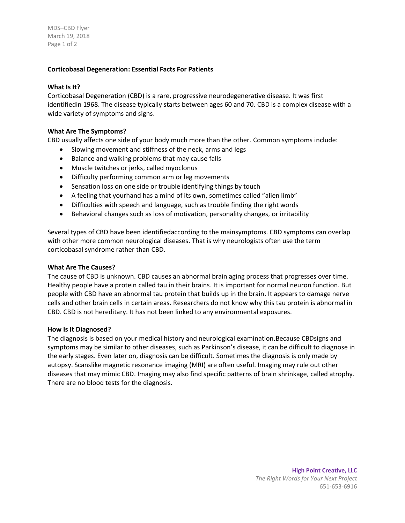MDS–CBD Flyer March 19, 2018 Page 1 of 2

# **Corticobasal Degeneration: Essential Facts For Patients**

## **What Is It?**

Corticobasal Degeneration (CBD) is a rare, progressive neurodegenerative disease. It was first identifiedin 1968. The disease typically starts between ages 60 and 70. CBD is a complex disease with a wide variety of symptoms and signs.

## **What Are The Symptoms?**

CBD usually affects one side of your body much more than the other. Common symptoms include:

- Slowing movement and stiffness of the neck, arms and legs
- Balance and walking problems that may cause falls
- Muscle twitches or jerks, called myoclonus
- Difficulty performing common arm or leg movements
- Sensation loss on one side or trouble identifying things by touch
- A feeling that yourhand has a mind of its own, sometimes called "alien limb"
- Difficulties with speech and language, such as trouble finding the right words
- Behavioral changes such as loss of motivation, personality changes, or irritability

Several types of CBD have been identifiedaccording to the mainsymptoms. CBD symptoms can overlap with other more common neurological diseases. That is why neurologists often use the term corticobasal syndrome rather than CBD.

#### **What Are The Causes?**

The cause of CBD is unknown. CBD causes an abnormal brain aging process that progresses over time. Healthy people have a protein called tau in their brains. It is important for normal neuron function. But people with CBD have an abnormal tau protein that builds up in the brain. It appears to damage nerve cells and other brain cells in certain areas. Researchers do not know why this tau protein is abnormal in CBD. CBD is not hereditary. It has not been linked to any environmental exposures.

#### **How Is It Diagnosed?**

The diagnosis is based on your medical history and neurological examination.Because CBDsigns and symptoms may be similar to other diseases, such as Parkinson's disease, it can be difficult to diagnose in the early stages. Even later on, diagnosis can be difficult. Sometimes the diagnosis is only made by autopsy. Scanslike magnetic resonance imaging (MRI) are often useful. Imaging may rule out other diseases that may mimic CBD. Imaging may also find specific patterns of brain shrinkage, called atrophy. There are no blood tests for the diagnosis.